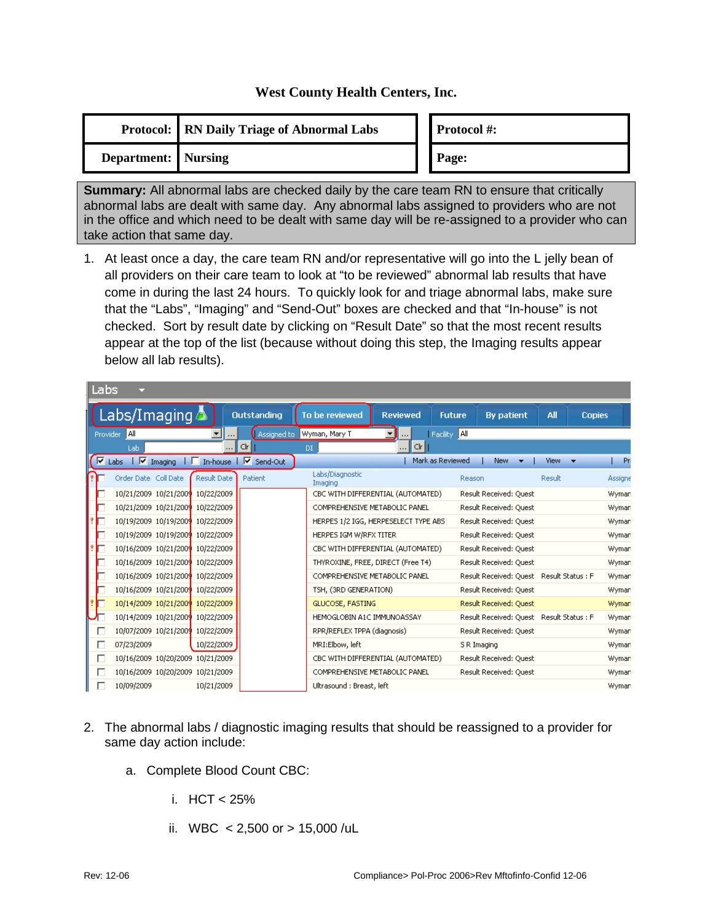## **West County Health Centers, Inc.**

|                            | <b>Protocol:</b> RN Daily Triage of Abnormal Labs |  | <b>Protocol#:</b> |
|----------------------------|---------------------------------------------------|--|-------------------|
| <b>Department:</b> Nursing |                                                   |  | Page:             |

**Summary:** All abnormal labs are checked daily by the care team RN to ensure that critically abnormal labs are dealt with same day. Any abnormal labs assigned to providers who are not in the office and which need to be dealt with same day will be re-assigned to a provider who can take action that same day.

1. At least once a day, the care team RN and/or representative will go into the L jelly bean of all providers on their care team to look at "to be reviewed" abnormal lab results that have come in during the last 24 hours. To quickly look for and triage abnormal labs, make sure that the "Labs", "Imaging" and "Send-Out" boxes are checked and that "In-house" is not checked. Sort by result date by clicking on "Result Date" so that the most recent results appear at the top of the list (because without doing this step, the Imaging results appear below all lab results).

| Labs     |                                  |             |                         |                             |                                      |                  |                                          |        |               |
|----------|----------------------------------|-------------|-------------------------|-----------------------------|--------------------------------------|------------------|------------------------------------------|--------|---------------|
|          | Labs/Imaging                     |             | <b>Outstanding</b>      | To be reviewed              | <b>Reviewed</b>                      | <b>Future</b>    | <b>By patient</b>                        | All    | <b>Copies</b> |
| Provider | AII                              |             | Assigned to             | Wyman, Mary T               |                                      | Facility All     |                                          |        |               |
|          | Lab                              | $\cdots$    | C r                     | DI                          | C r <br>$\cdots$                     |                  |                                          |        |               |
| ⊽        | $\sqrt{v}$ Imaging<br>Labs       |             | □ In-house   ▽ Send-Out |                             |                                      | Mark as Reviewed | <b>New</b>                               | View   | Pri           |
|          | Order Date Coll Date             | Result Date | Patient                 | Labs/Diagnostic<br>Imaging  |                                      | Reason           |                                          | Result | Assigne       |
|          | 10/21/2009 10/21/2009 10/22/2009 |             |                         |                             | CBC WITH DIFFERENTIAL (AUTOMATED)    |                  | Result Received: Quest                   |        | Wyman         |
|          | 10/21/2009 10/21/2009 10/22/2009 |             |                         |                             | COMPREHENSIVE METABOLIC PANEL        |                  | Result Received: Quest                   |        | Wyman         |
|          | 10/19/2009 10/19/2009 10/22/2009 |             |                         |                             | HERPES 1/2 IGG, HERPESELECT TYPE ABS |                  | Result Received: Quest                   |        | Wyman         |
|          | 10/19/2009 10/19/2009 10/22/2009 |             |                         | HERPES IGM W/RFX TITER      |                                      |                  | Result Received: Quest                   |        | Wyman         |
|          | 10/16/2009 10/21/2009 10/22/2009 |             |                         |                             | CBC WITH DIFFERENTIAL (AUTOMATED).   |                  | Result Received: Ouest                   |        | Wyman         |
|          | 10/16/2009 10/21/2009 10/22/2009 |             |                         |                             | THYROXINE, FREE, DIRECT (Free T4)    |                  | Result Received: Quest                   |        | Wyman         |
|          | 10/16/2009 10/21/2009 10/22/2009 |             |                         |                             | COMPREHENSIVE METABOLIC PANEL        |                  | Result Received: Quest Result Status : F |        | Wyman         |
|          | 10/16/2009 10/21/2009 10/22/2009 |             |                         | TSH, (3RD GENERATION)       |                                      |                  | Result Received: Quest                   |        | Wyman         |
|          | 10/14/2009 10/21/2009 10/22/2009 |             |                         | <b>GLUCOSE, FASTING</b>     |                                      |                  | Result Received: Quest                   |        | Wyman         |
|          | 10/14/2009 10/21/2009 10/22/2009 |             |                         | HEMOGLOBIN A1C IMMUNOASSAY  |                                      |                  | Result Received: Quest Result Status : F |        | Wyman         |
| г        | 10/07/2009 10/21/2009 10/22/2009 |             |                         | RPR/REFLEX TPPA (diagnosis) |                                      |                  | Result Received: Quest                   |        | Wyman         |
| г        | 07/23/2009                       | 10/22/2009  |                         | MRI:Elbow, left             |                                      |                  | S R Imaging                              |        | Wyman         |
| г        | 10/16/2009 10/20/2009 10/21/2009 |             |                         |                             | CBC WITH DIFFERENTIAL (AUTOMATED)    |                  | Result Received: Ouest                   |        | Wyman         |
| П        | 10/16/2009 10/20/2009 10/21/2009 |             |                         |                             | COMPREHENSIVE METABOLIC PANEL        |                  | Result Received: Quest                   |        | Wyman         |
|          | 10/09/2009                       | 10/21/2009  |                         | Ultrasound : Breast, left   |                                      |                  |                                          |        | Wyman         |

- 2. The abnormal labs / diagnostic imaging results that should be reassigned to a provider for same day action include:
	- a. Complete Blood Count CBC:
		- i.  $HCT < 25%$
		- ii. WBC  $< 2,500$  or  $> 15,000$  /uL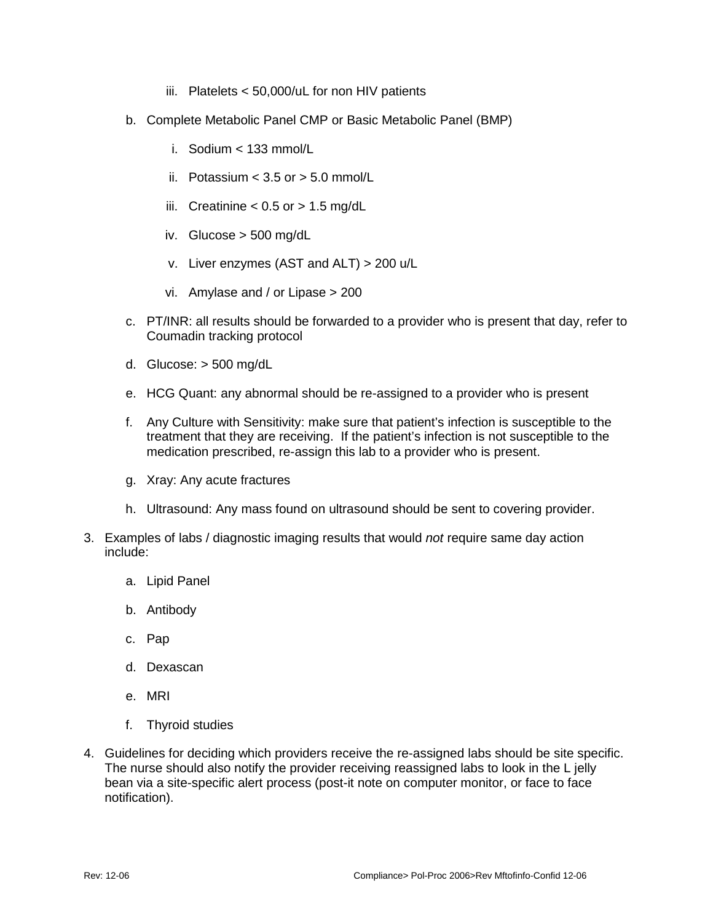- iii. Platelets < 50,000/uL for non HIV patients
- b. Complete Metabolic Panel CMP or Basic Metabolic Panel (BMP)
	- i. Sodium < 133 mmol/L
	- ii. Potassium  $<$  3.5 or  $>$  5.0 mmol/L
	- iii. Creatinine  $< 0.5$  or  $> 1.5$  mg/dL
	- iv. Glucose > 500 mg/dL
	- v. Liver enzymes (AST and ALT) > 200 u/L
	- vi. Amylase and / or Lipase > 200
- c. PT/INR: all results should be forwarded to a provider who is present that day, refer to Coumadin tracking protocol
- d. Glucose: > 500 mg/dL
- e. HCG Quant: any abnormal should be re-assigned to a provider who is present
- f. Any Culture with Sensitivity: make sure that patient's infection is susceptible to the treatment that they are receiving. If the patient's infection is not susceptible to the medication prescribed, re-assign this lab to a provider who is present.
- g. Xray: Any acute fractures
- h. Ultrasound: Any mass found on ultrasound should be sent to covering provider.
- 3. Examples of labs / diagnostic imaging results that would *not* require same day action include:
	- a. Lipid Panel
	- b. Antibody
	- c. Pap
	- d. Dexascan
	- e. MRI
	- f. Thyroid studies
- 4. Guidelines for deciding which providers receive the re-assigned labs should be site specific. The nurse should also notify the provider receiving reassigned labs to look in the L jelly bean via a site-specific alert process (post-it note on computer monitor, or face to face notification).